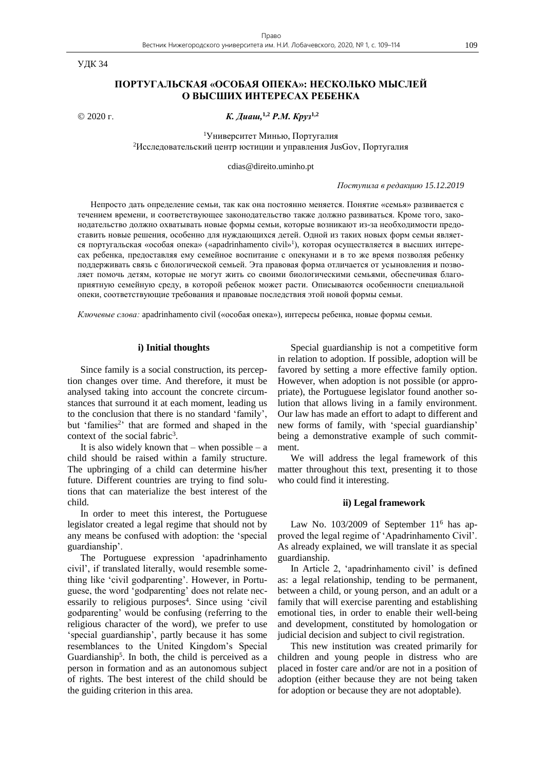УДК 34

# **ПОРТУГАЛЬСКАЯ «ОСОБАЯ ОПЕКА»: НЕСКОЛЬКО МЫСЛЕЙ О ВЫСШИХ ИНТЕРЕСАХ РЕБЕНКА**

2020 г. *К. Диаш,* **1,2** *Р.М. Круз***1,2**

<sup>1</sup>Университет Минью, Португалия <sup>2</sup>Исследовательский центр юстиции и управления JusGov, Португалия

cdias@direito.uminho.pt

*Поступила в редакцию 15.12.2019*

Непросто дать определение семьи, так как она постоянно меняется. Понятие «семья» развивается с течением времени, и соответствующее законодательство также должно развиваться. Кроме того, законодательство должно охватывать новые формы семьи, которые возникают из-за необходимости предоставить новые решения, особенно для нуждающихся детей. Одной из таких новых форм семьи является португальская «особая опека» («apadrinhamento civil» 1 ), которая осуществляется в высших интересах ребенка, предоставляя ему семейное воспитание с опекунами и в то же время позволяя ребенку поддерживать связь с биологической семьей. Эта правовая форма отличается от усыновления и позволяет помочь детям, которые не могут жить со своими биологическими семьями, обеспечивая благоприятную семейную среду, в которой ребенок может расти. Описываются особенности специальной опеки, соответствующие требования и правовые последствия этой новой формы семьи.

*Ключевые слова:* apadrinhamento civil («особая опека»), интересы ребенка, новые формы семьи.

### **i) Initial thoughts**

Since family is a social construction, its perception changes over time. And therefore, it must be analysed taking into account the concrete circumstances that surround it at each moment, leading us to the conclusion that there is no standard 'family', but 'families<sup>2</sup>' that are formed and shaped in the context of the social fabric<sup>3</sup>.

It is also widely known that – when possible – a child should be raised within a family structure. The upbringing of a child can determine his/her future. Different countries are trying to find solutions that can materialize the best interest of the child.

In order to meet this interest, the Portuguese legislator created a legal regime that should not by any means be confused with adoption: the 'special guardianship'.

The Portuguese expression 'apadrinhamento civil', if translated literally, would resemble something like 'civil godparenting'. However, in Portuguese, the word 'godparenting' does not relate necessarily to religious purposes<sup>4</sup>. Since using 'civil godparenting' would be confusing (referring to the religious character of the word), we prefer to use 'special guardianship', partly because it has some resemblances to the United Kingdom's Special Guardianship<sup>5</sup>. In both, the child is perceived as a person in formation and as an autonomous subject of rights. The best interest of the child should be the guiding criterion in this area.

Special guardianship is not a competitive form in relation to adoption. If possible, adoption will be favored by setting a more effective family option. However, when adoption is not possible (or appropriate), the Portuguese legislator found another solution that allows living in a family environment. Our law has made an effort to adapt to different and new forms of family, with 'special guardianship' being a demonstrative example of such commitment.

We will address the legal framework of this matter throughout this text, presenting it to those who could find it interesting.

### **ii) Legal framework**

Law No. 103/2009 of September 11<sup>6</sup> has approved the legal regime of 'Apadrinhamento Civil'. As already explained, we will translate it as special guardianship.

In Article 2, 'apadrinhamento civil' is defined as: a legal relationship, tending to be permanent, between a child, or young person, and an adult or a family that will exercise parenting and establishing emotional ties, in order to enable their well-being and development, constituted by homologation or judicial decision and subject to civil registration.

This new institution was created primarily for children and young people in distress who are placed in foster care and/or are not in a position of adoption (either because they are not being taken for adoption or because they are not adoptable).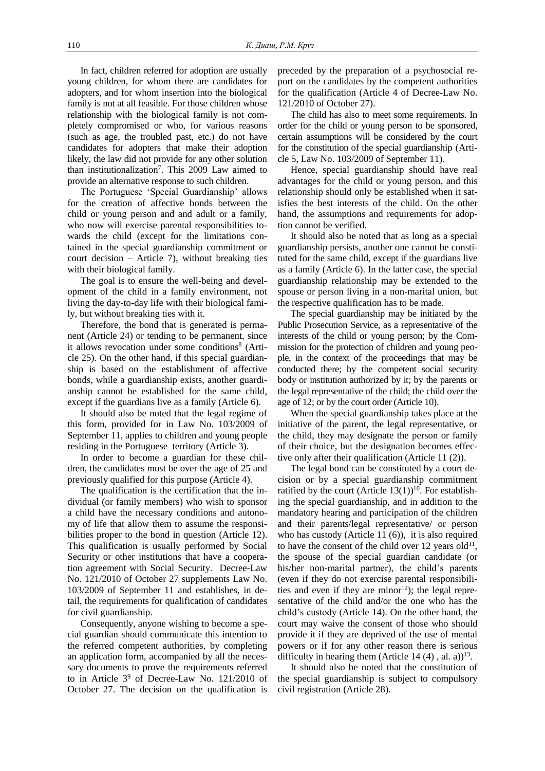In fact, children referred for adoption are usually young children, for whom there are candidates for adopters, and for whom insertion into the biological family is not at all feasible. For those children whose relationship with the biological family is not completely compromised or who, for various reasons (such as age, the troubled past, etc.) do not have candidates for adopters that make their adoption likely, the law did not provide for any other solution than institutionalization<sup>7</sup> . This 2009 Law aimed to provide an alternative response to such children.

The Portuguese 'Special Guardianship' allows for the creation of affective bonds between the child or young person and and adult or a family, who now will exercise parental responsibilities towards the child (except for the limitations contained in the special guardianship commitment or court decision – Article 7), without breaking ties with their biological family.

The goal is to ensure the well-being and development of the child in a family environment, not living the day-to-day life with their biological family, but without breaking ties with it.

Therefore, the bond that is generated is permanent (Article 24) or tending to be permanent, since it allows revocation under some conditions<sup>8</sup> (Article 25). On the other hand, if this special guardianship is based on the establishment of affective bonds, while a guardianship exists, another guardianship cannot be established for the same child, except if the guardians live as a family (Article 6).

It should also be noted that the legal regime of this form, provided for in Law No. 103/2009 of September 11, applies to children and young people residing in the Portuguese territory (Article 3).

In order to become a guardian for these children, the candidates must be over the age of 25 and previously qualified for this purpose (Article 4).

The qualification is the certification that the individual (or family members) who wish to sponsor a child have the necessary conditions and autonomy of life that allow them to assume the responsibilities proper to the bond in question (Article 12). This qualification is usually performed by Social Security or other institutions that have a cooperation agreement with Social Security. Decree-Law No. 121/2010 of October 27 supplements Law No. 103/2009 of September 11 and establishes, in detail, the requirements for qualification of candidates for civil guardianship.

Consequently, anyone wishing to become a special guardian should communicate this intention to the referred competent authorities, by completing an application form, accompanied by all the necessary documents to prove the requirements referred to in Article  $3^9$  of Decree-Law No. 121/2010 of October 27. The decision on the qualification is preceded by the preparation of a psychosocial report on the candidates by the competent authorities for the qualification (Article 4 of Decree-Law No. 121/2010 of October 27).

The child has also to meet some requirements. In order for the child or young person to be sponsored, certain assumptions will be considered by the court for the constitution of the special guardianship (Article 5, Law No. 103/2009 of September 11).

Hence, special guardianship should have real advantages for the child or young person, and this relationship should only be established when it satisfies the best interests of the child. On the other hand, the assumptions and requirements for adoption cannot be verified.

It should also be noted that as long as a special guardianship persists, another one cannot be constituted for the same child, except if the guardians live as a family (Article 6). In the latter case, the special guardianship relationship may be extended to the spouse or person living in a non-marital union, but the respective qualification has to be made.

The special guardianship may be initiated by the Public Prosecution Service, as a representative of the interests of the child or young person; by the Commission for the protection of children and young people, in the context of the proceedings that may be conducted there; by the competent social security body or institution authorized by it; by the parents or the legal representative of the child; the child over the age of 12; or by the court order (Article 10).

When the special guardianship takes place at the initiative of the parent, the legal representative, or the child, they may designate the person or family of their choice, but the designation becomes effective only after their qualification (Article 11 (2)).

The legal bond can be constituted by a court decision or by a special guardianship commitment ratified by the court (Article  $13(1)$ )<sup>10</sup>. For establishing the special guardianship, and in addition to the mandatory hearing and participation of the children and their parents/legal representative/ or person who has custody (Article 11 (6)), it is also required to have the consent of the child over 12 years old<sup>11</sup>, the spouse of the special guardian candidate (or his/her non-marital partner), the child's parents (even if they do not exercise parental responsibilities and even if they are minor<sup>12</sup>); the legal representative of the child and/or the one who has the child's custody (Article 14). On the other hand, the court may waive the consent of those who should provide it if they are deprived of the use of mental powers or if for any other reason there is serious difficulty in hearing them (Article 14  $(4)$ , al. a))<sup>13</sup>.

It should also be noted that the constitution of the special guardianship is subject to compulsory civil registration (Article 28).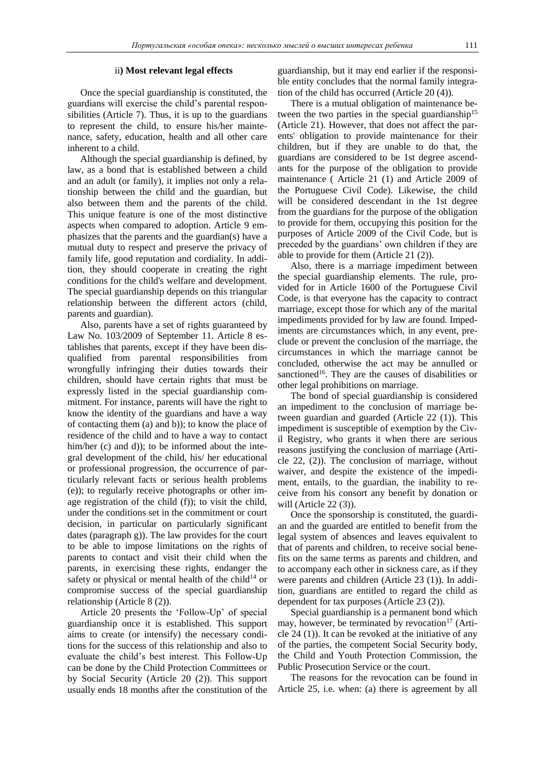### ii**) Most relevant legal effects**

Once the special guardianship is constituted, the guardians will exercise the child's parental responsibilities (Article 7). Thus, it is up to the guardians to represent the child, to ensure his/her maintenance, safety, education, health and all other care inherent to a child.

Although the special guardianship is defined, by law, as a bond that is established between a child and an adult (or family), it implies not only a relationship between the child and the guardian, but also between them and the parents of the child. This unique feature is one of the most distinctive aspects when compared to adoption. Article 9 emphasizes that the parents and the guardian(s) have a mutual duty to respect and preserve the privacy of family life, good reputation and cordiality. In addition, they should cooperate in creating the right conditions for the child's welfare and development. The special guardianship depends on this triangular relationship between the different actors (child, parents and guardian).

Also, parents have a set of rights guaranteed by Law No. 103/2009 of September 11. Article 8 establishes that parents, except if they have been disqualified from parental responsibilities from wrongfully infringing their duties towards their children, should have certain rights that must be expressly listed in the special guardianship commitment. For instance, parents will have the right to know the identity of the guardians and have a way of contacting them (a) and b)); to know the place of residence of the child and to have a way to contact him/her (c) and d)); to be informed about the integral development of the child, his/ her educational or professional progression, the occurrence of particularly relevant facts or serious health problems (e)); to regularly receive photographs or other image registration of the child (f)); to visit the child, under the conditions set in the commitment or court decision, in particular on particularly significant dates (paragraph g)). The law provides for the court to be able to impose limitations on the rights of parents to contact and visit their child when the parents, in exercising these rights, endanger the safety or physical or mental health of the child<sup>14</sup> or compromise success of the special guardianship relationship (Article 8 (2)).

Article 20 presents the 'Follow-Up' of special guardianship once it is established. This support aims to create (or intensify) the necessary conditions for the success of this relationship and also to evaluate the child's best interest. This Follow-Up can be done by the Child Protection Committees or by Social Security (Article 20 (2)). This support usually ends 18 months after the constitution of the

guardianship, but it may end earlier if the responsible entity concludes that the normal family integration of the child has occurred (Article 20 (4)).

There is a mutual obligation of maintenance between the two parties in the special guardianship<sup>15</sup> (Article 21). However, that does not affect the parents' obligation to provide maintenance for their children, but if they are unable to do that, the guardians are considered to be 1st degree ascendants for the purpose of the obligation to provide maintenance ( Article 21 (1) and Article 2009 of the Portuguese Civil Code). Likewise, the child will be considered descendant in the 1st degree from the guardians for the purpose of the obligation to provide for them, occupying this position for the purposes of Article 2009 of the Civil Code, but is preceded by the guardians' own children if they are able to provide for them (Article 21 (2)).

Also, there is a marriage impediment between the special guardianship elements. The rule, provided for in Article 1600 of the Portuguese Civil Code, is that everyone has the capacity to contract marriage, except those for which any of the marital impediments provided for by law are found. Impediments are circumstances which, in any event, preclude or prevent the conclusion of the marriage, the circumstances in which the marriage cannot be concluded, otherwise the act may be annulled or sanctioned<sup>16</sup>. They are the causes of disabilities or other legal prohibitions on marriage.

The bond of special guardianship is considered an impediment to the conclusion of marriage between guardian and guarded (Article 22 (1)). This impediment is susceptible of exemption by the Civil Registry, who grants it when there are serious reasons justifying the conclusion of marriage (Article 22, (2)). The conclusion of marriage, without waiver, and despite the existence of the impediment, entails, to the guardian, the inability to receive from his consort any benefit by donation or will (Article 22 (3)).

Once the sponsorship is constituted, the guardian and the guarded are entitled to benefit from the legal system of absences and leaves equivalent to that of parents and children, to receive social benefits on the same terms as parents and children, and to accompany each other in sickness care, as if they were parents and children (Article 23 (1)). In addition, guardians are entitled to regard the child as dependent for tax purposes (Article 23 (2)).

Special guardianship is a permanent bond which may, however, be terminated by revocation<sup>17</sup> (Article 24 (1)). It can be revoked at the initiative of any of the parties, the competent Social Security body, the Child and Youth Protection Commission, the Public Prosecution Service or the court.

The reasons for the revocation can be found in Article 25, i.e. when: (a) there is agreement by all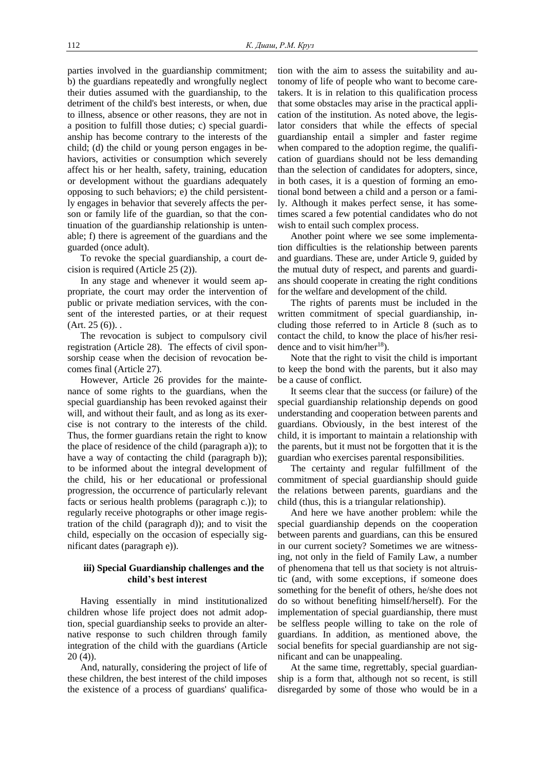parties involved in the guardianship commitment; b) the guardians repeatedly and wrongfully neglect their duties assumed with the guardianship, to the detriment of the child's best interests, or when, due to illness, absence or other reasons, they are not in a position to fulfill those duties; c) special guardianship has become contrary to the interests of the child; (d) the child or young person engages in behaviors, activities or consumption which severely affect his or her health, safety, training, education or development without the guardians adequately opposing to such behaviors; e) the child persistently engages in behavior that severely affects the person or family life of the guardian, so that the continuation of the guardianship relationship is untenable; f) there is agreement of the guardians and the guarded (once adult).

To revoke the special guardianship, a court decision is required (Article 25 (2)).

In any stage and whenever it would seem appropriate, the court may order the intervention of public or private mediation services, with the consent of the interested parties, or at their request  $(Art. 25 (6))$ .

The revocation is subject to compulsory civil registration (Article 28). The effects of civil sponsorship cease when the decision of revocation becomes final (Article 27).

However, Article 26 provides for the maintenance of some rights to the guardians, when the special guardianship has been revoked against their will, and without their fault, and as long as its exercise is not contrary to the interests of the child. Thus, the former guardians retain the right to know the place of residence of the child (paragraph a)); to have a way of contacting the child (paragraph b)); to be informed about the integral development of the child, his or her educational or professional progression, the occurrence of particularly relevant facts or serious health problems (paragraph c.)); to regularly receive photographs or other image registration of the child (paragraph d)); and to visit the child, especially on the occasion of especially significant dates (paragraph e)).

# **iii) Special Guardianship challenges and the child's best interest**

Having essentially in mind institutionalized children whose life project does not admit adoption, special guardianship seeks to provide an alternative response to such children through family integration of the child with the guardians (Article 20 (4)).

And, naturally, considering the project of life of these children, the best interest of the child imposes the existence of a process of guardians' qualification with the aim to assess the suitability and autonomy of life of people who want to become caretakers. It is in relation to this qualification process that some obstacles may arise in the practical application of the institution. As noted above, the legislator considers that while the effects of special guardianship entail a simpler and faster regime when compared to the adoption regime, the qualification of guardians should not be less demanding than the selection of candidates for adopters, since, in both cases, it is a question of forming an emotional bond between a child and a person or a family. Although it makes perfect sense, it has sometimes scared a few potential candidates who do not wish to entail such complex process.

Another point where we see some implementation difficulties is the relationship between parents and guardians. These are, under Article 9, guided by the mutual duty of respect, and parents and guardians should cooperate in creating the right conditions for the welfare and development of the child.

The rights of parents must be included in the written commitment of special guardianship, including those referred to in Article 8 (such as to contact the child, to know the place of his/her residence and to visit him/her<sup>18</sup>).

Note that the right to visit the child is important to keep the bond with the parents, but it also may be a cause of conflict.

It seems clear that the success (or failure) of the special guardianship relationship depends on good understanding and cooperation between parents and guardians. Obviously, in the best interest of the child, it is important to maintain a relationship with the parents, but it must not be forgotten that it is the guardian who exercises parental responsibilities.

The certainty and regular fulfillment of the commitment of special guardianship should guide the relations between parents, guardians and the child (thus, this is a triangular relationship).

And here we have another problem: while the special guardianship depends on the cooperation between parents and guardians, can this be ensured in our current society? Sometimes we are witnessing, not only in the field of Family Law, a number of phenomena that tell us that society is not altruistic (and, with some exceptions, if someone does something for the benefit of others, he/she does not do so without benefiting himself/herself). For the implementation of special guardianship, there must be selfless people willing to take on the role of guardians. In addition, as mentioned above, the social benefits for special guardianship are not significant and can be unappealing.

At the same time, regrettably, special guardianship is a form that, although not so recent, is still disregarded by some of those who would be in a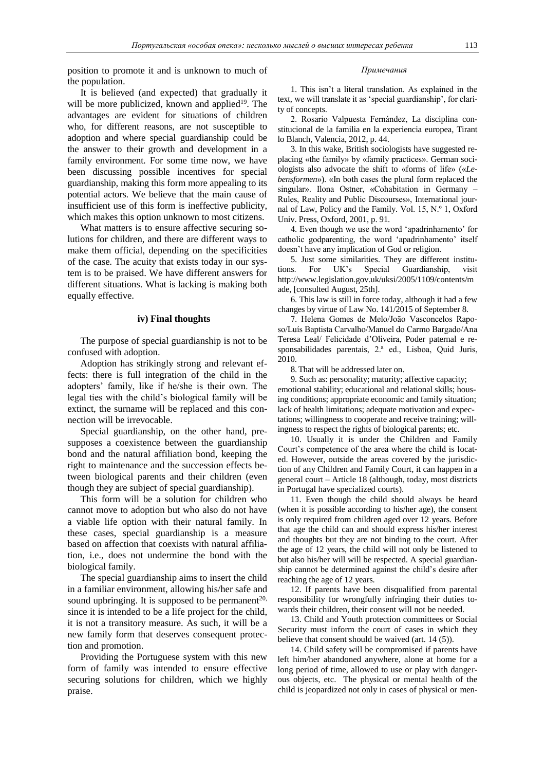position to promote it and is unknown to much of the population.

It is believed (and expected) that gradually it will be more publicized, known and applied $19$ . The advantages are evident for situations of children who, for different reasons, are not susceptible to adoption and where special guardianship could be the answer to their growth and development in a family environment. For some time now, we have been discussing possible incentives for special guardianship, making this form more appealing to its potential actors. We believe that the main cause of insufficient use of this form is ineffective publicity, which makes this option unknown to most citizens.

What matters is to ensure affective securing solutions for children, and there are different ways to make them official, depending on the specificities of the case. The acuity that exists today in our system is to be praised. We have different answers for different situations. What is lacking is making both equally effective.

## **iv) Final thoughts**

The purpose of special guardianship is not to be confused with adoption.

Adoption has strikingly strong and relevant effects: there is full integration of the child in the adopters' family, like if he/she is their own. The legal ties with the child's biological family will be extinct, the surname will be replaced and this connection will be irrevocable.

Special guardianship, on the other hand, presupposes a coexistence between the guardianship bond and the natural affiliation bond, keeping the right to maintenance and the succession effects between biological parents and their children (even though they are subject of special guardianship).

This form will be a solution for children who cannot move to adoption but who also do not have a viable life option with their natural family. In these cases, special guardianship is a measure based on affection that coexists with natural affiliation, i.e., does not undermine the bond with the biological family.

The special guardianship aims to insert the child in a familiar environment, allowing his/her safe and sound upbringing. It is supposed to be permanent<sup>20,</sup> since it is intended to be a life project for the child, it is not a transitory measure. As such, it will be a new family form that deserves consequent protection and promotion.

Providing the Portuguese system with this new form of family was intended to ensure effective securing solutions for children, which we highly praise.

## *Примечания*

1. This isn't a literal translation. As explained in the text, we will translate it as 'special guardianship', for clarity of concepts.

2. Rosario Valpuesta Fernández, La disciplina constitucional de la familia en la experiencia europea, Tirant lo Blanch, Valencia, 2012, p. 44.

3. In this wake, British sociologists have suggested replacing «the family» by «family practices». German sociologists also advocate the shift to «forms of life» («*Lebensformen*»). «In both cases the plural form replaced the singular». Ilona Ostner, «Cohabitation in Germany – Rules, Reality and Public Discourses», International journal of Law, Policy and the Family. Vol. 15, N.º 1, Oxford Univ. Press, Oxford, 2001, p. 91.

4. Even though we use the word 'apadrinhamento' for catholic godparenting, the word 'apadrinhamento' itself doesn't have any implication of God or religion.

5. Just some similarities. They are different institutions. For UK's Special Guardianship, visit http://www.legislation.gov.uk/uksi/2005/1109/contents/m ade, [consulted August, 25th].

6. This law is still in force today, although it had a few changes by virtue of Law No. 141/2015 of September 8.

7. Helena Gomes de Melo/João Vasconcelos Raposo/Luís Baptista Carvalho/Manuel do Carmo Bargado/Ana Teresa Leal/ Felicidade d'Oliveira, Poder paternal e responsabilidades parentais, 2.ª ed., Lisboa, Quid Juris, 2010.

8.That will be addressed later on.

9. Such as: personality; maturity; affective capacity; emotional stability; educational and relational skills; housing conditions; appropriate economic and family situation; lack of health limitations; adequate motivation and expectations; willingness to cooperate and receive training; willingness to respect the rights of biological parents; etc.

10. Usually it is under the Children and Family Court's competence of the area where the child is located. However, outside the areas covered by the jurisdiction of any Children and Family Court, it can happen in a general court – Article 18 (although, today, most districts in Portugal have specialized courts).

11. Even though the child should always be heard (when it is possible according to his/her age), the consent is only required from children aged over 12 years. Before that age the child can and should express his/her interest and thoughts but they are not binding to the court. After the age of 12 years, the child will not only be listened to but also his/her will will be respected. A special guardianship cannot be determined against the child's desire after reaching the age of 12 years.

12. If parents have been disqualified from parental responsibility for wrongfully infringing their duties towards their children, their consent will not be needed.

13. Child and Youth protection committees or Social Security must inform the court of cases in which they believe that consent should be waived (art. 14 (5)).

14. Child safety will be compromised if parents have left him/her abandoned anywhere, alone at home for a long period of time, allowed to use or play with dangerous objects, etc. The physical or mental health of the child is jeopardized not only in cases of physical or men